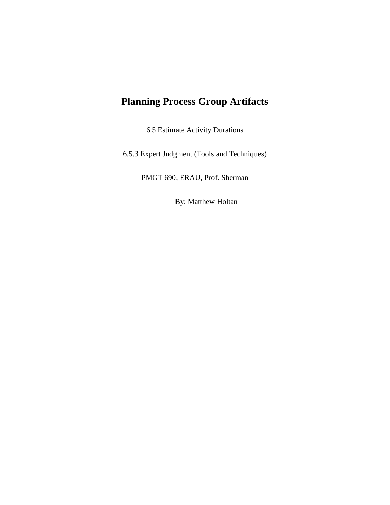## **Planning Process Group Artifacts**

6.5 Estimate Activity Durations

6.5.3 Expert Judgment (Tools and Techniques)

PMGT 690, ERAU, Prof. Sherman

By: Matthew Holtan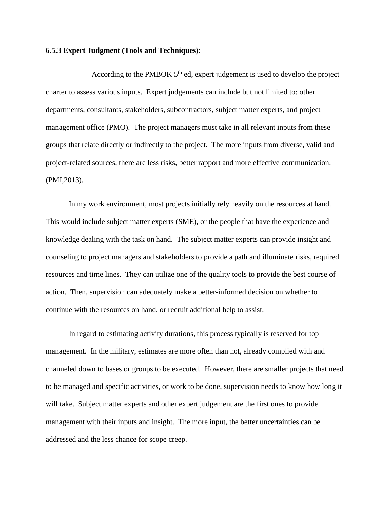## **6.5.3 Expert Judgment (Tools and Techniques):**

According to the PMBOK  $5<sup>th</sup>$  ed, expert judgement is used to develop the project charter to assess various inputs. Expert judgements can include but not limited to: other departments, consultants, stakeholders, subcontractors, subject matter experts, and project management office (PMO). The project managers must take in all relevant inputs from these groups that relate directly or indirectly to the project. The more inputs from diverse, valid and project-related sources, there are less risks, better rapport and more effective communication. (PMI,2013).

In my work environment, most projects initially rely heavily on the resources at hand. This would include subject matter experts (SME), or the people that have the experience and knowledge dealing with the task on hand. The subject matter experts can provide insight and counseling to project managers and stakeholders to provide a path and illuminate risks, required resources and time lines. They can utilize one of the quality tools to provide the best course of action. Then, supervision can adequately make a better-informed decision on whether to continue with the resources on hand, or recruit additional help to assist.

In regard to estimating activity durations, this process typically is reserved for top management. In the military, estimates are more often than not, already complied with and channeled down to bases or groups to be executed. However, there are smaller projects that need to be managed and specific activities, or work to be done, supervision needs to know how long it will take. Subject matter experts and other expert judgement are the first ones to provide management with their inputs and insight. The more input, the better uncertainties can be addressed and the less chance for scope creep.